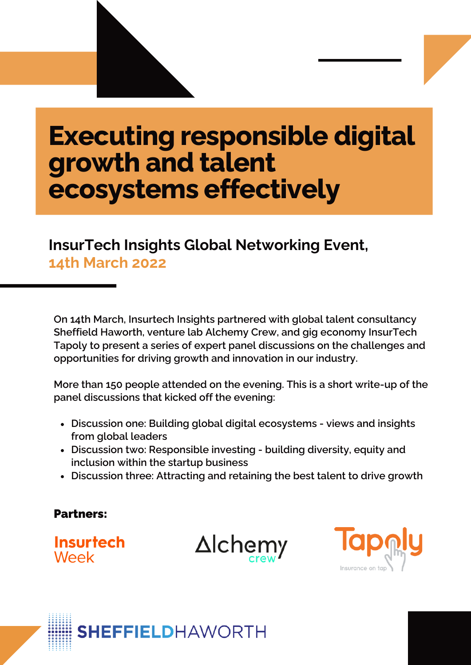# **Executing responsible digital growth and talent ecosystems effectively**

## **InsurTech Insights Global Networking Event, 14th March 2022**

**On 14th March, Insurtech Insights partnered with global talent consultancy Sheffield Haworth, venture lab Alchemy Crew, and gig economy InsurTech Tapoly to present a series of expert panel discussions on the challenges and opportunities for driving growth and innovation in our industry.**

**More than 150 people attended on the evening. This is a short write-up of the panel discussions that kicked off the evening:**

- **Discussion one: Building global digital ecosystems - views and insights from global leaders**
- **Discussion two: Responsible investing - building diversity, equity and inclusion within the startup business**
- **Discussion three: Attracting and retaining the best talent to drive growth**

#### Partners:

**Insurtech** Week

 $\Delta$ Ichemy



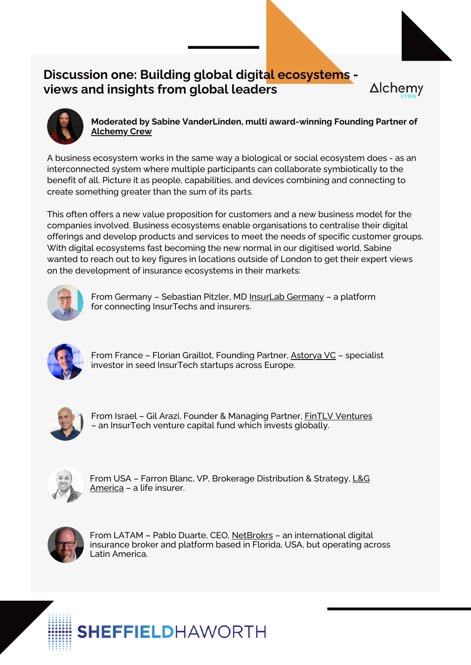## **Discussion one: Building global digital ecosystems views and insights from global leaders**



**Moderated by Sabine VanderLinden, multi award-winning Founding Partner of [Alchemy](https://alchemycrew.com/) Crew**

**Alchemy** 

A business ecosystem works in the same way a biological or social ecosystem does - as an interconnected system where multiple participants can collaborate symbiotically to the benefit of all. Picture it as people, capabilities, and devices combining and connecting to create something greater than the sum of its parts.

This often offers a new value proposition for customers and a new business model for the companies involved. Business ecosystems enable organisations to centralise their digital offerings and develop products and services to meet the needs of specific customer groups. With digital ecosystems fast becoming the new normal in our digitised world, Sabine wanted to reach out to key figures in locations outside of London to get their expert views on the development of insurance ecosystems in their markets:



From Germany - [Sebastian](https://www.linkedin.com/in/pitzler/) Pitzler, MD InsurLab [Germany](https://insurlab-germany.com/en/insurlab/) - a platform for [connecting](https://www.linkedin.com/in/pitzler/) InsurTechs and insurers.



From France - Florian Graillot, [Founding](https://www.linkedin.com/in/pitzler/) Partner, [Astorya](http://astorya.vc/) VC - specialist investor in seed [InsurTech](https://www.linkedin.com/in/pitzler/) startups across Europe.



From Israel - Gil Arazi, Founder & [Managing](https://www.linkedin.com/in/pitzler/) Partner, FinTLV [Ventures](https://fintlv.com/) – an [InsurTech](https://www.linkedin.com/in/pitzler/) venture capital fund which invests globally.



From USA – Farron Blanc, VP, Brokerage [Distribution](https://www.linkedin.com/in/pitzler/) & Strategy, L&G America – a life [insurer.](https://www.linkedin.com/in/pitzler/)



From [LATAM](https://www.linkedin.com/in/pitzler/) - Pablo Duarte, CEO, [NetBrokrs](https://netbrokrs.com/) - an [international](https://www.linkedin.com/in/pitzler/) digital insurance broker and platform based in Florida, USA, but operating across Latin America.

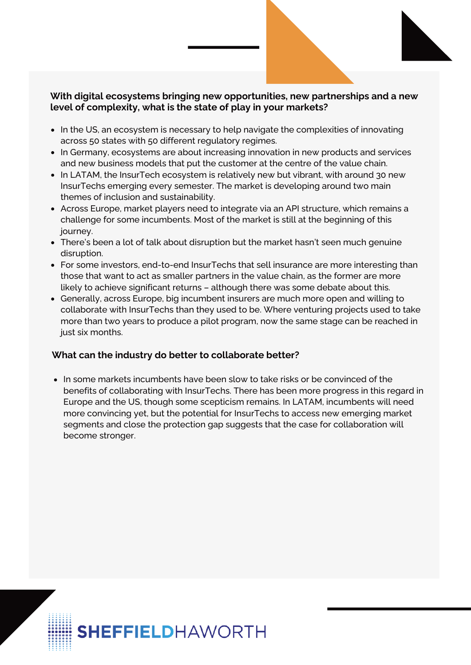#### **With digital ecosystems bringing new opportunities, new partnerships and a new level of complexity, what is the state of play in your markets?**

- In the US, an ecosystem is necessary to help navigate the complexities of innovating across 50 states with 50 different regulatory regimes.
- In Germany, ecosystems are about increasing innovation in new products and services and new business models that put the customer at the centre of the value chain.
- In LATAM, the InsurTech ecosystem is relatively new but vibrant, with around 30 new InsurTechs emerging every semester. The market is developing around two main themes of inclusion and sustainability.
- Across Europe, market players need to integrate via an API structure, which remains a challenge for some incumbents. Most of the market is still at the beginning of this journey.
- There's been a lot of talk about disruption but the market hasn't seen much genuine disruption.
- For some investors, end-to-end InsurTechs that sell insurance are more interesting than those that want to act as smaller partners in the value chain, as the former are more likely to achieve significant returns – although there was some debate about this.
- Generally, across Europe, big incumbent insurers are much more open and willing to collaborate with InsurTechs than they used to be. Where venturing projects used to take more than two years to produce a pilot program, now the same stage can be reached in just six months.

#### **What can the industry do better to collaborate better?**

In some markets incumbents have been slow to take risks or be convinced of the benefits of collaborating with InsurTechs. There has been more progress in this regard in Europe and the US, though some scepticism remains. In LATAM, incumbents will need more convincing yet, but the potential for InsurTechs to access new emerging market segments and close the protection gap suggests that the case for collaboration will become stronger.

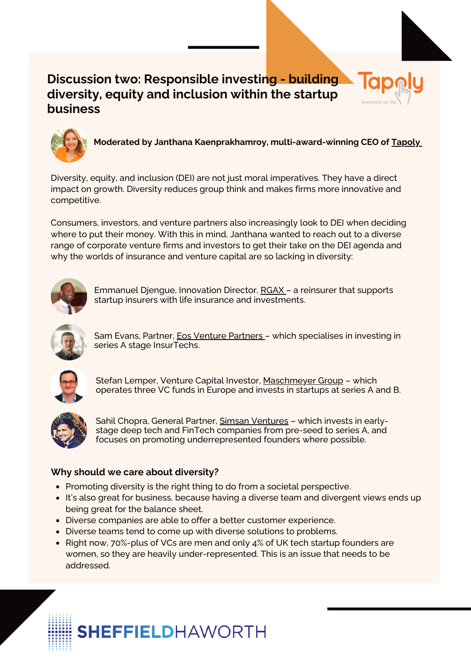## **Discussion two: Responsible investing - building diversity, equity and inclusion within the startup business**



**Moderated by Janthana Kaenprakhamroy, multi-award-winning CEO of [Tapoly](https://www.tapoly.com/)**

Diversity, equity, and inclusion (DEI) are not just moral imperatives. They have a direct impact on growth. Diversity reduces group think and makes firms more innovative and competitive.

Consumers, investors, and venture partners also increasingly look to DEI when deciding where to put their money. With this in mind, Janthana wanted to reach out to a diverse range of corporate venture firms and investors to get their take on the DEI agenda and why the worlds of insurance and venture capital are so lacking in diversity:



[Emmanuel](https://www.linkedin.com/in/pitzler/) Djengue, Innovation Director, [RGAX](https://www.rgax.com/) – a reinsurer that supports startup insurers with life insurance and [investments.](https://www.linkedin.com/in/pitzler/)



Sam Evans, [Partner,](https://www.linkedin.com/in/pitzler/) **Eos Venture [Partners](https://www.eosventurepartners.com/)** - which specialises in investing in series A stage [InsurTechs.](https://www.linkedin.com/in/pitzler/)



Stefan Lemper, Venture Capital [Investor,](https://www.linkedin.com/in/pitzler/) [M](https://www.linkedin.com/in/pitzler/)[aschmeyer](https://maschmeyer-group.de/) Group – which operates three VC funds in Europe and invests in startups at series A and B.



Sahil Chopra, [General](https://www.linkedin.com/in/pitzler/) Partner, Simsan [Ventures](https://simsan.vc/) - which invests in earlystage deep tech and FinTech companies from pre-seed to series A, and focuses on promoting [underrepresented](https://www.linkedin.com/in/pitzler/) founders where possible.

#### **Why should we care about diversity?**

- Promoting diversity is the right thing to do from a societal perspective.
- It's also great for business, because having a diverse team and divergent views ends up being great for the balance sheet.
- **·** Diverse companies are able to offer a better customer experience.
- Diverse teams tend to come up with diverse solutions to problems.
- Right now, 70%-plus of VCs are men and only 4% of UK tech startup founders are women, so they are heavily under-represented. This is an issue that needs to be addressed.

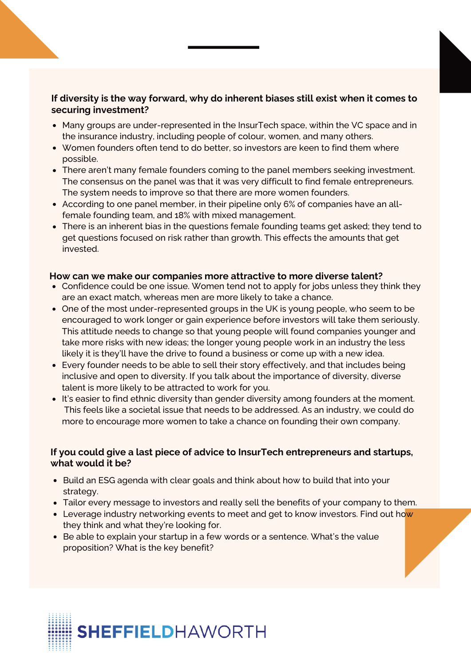#### **If diversity is the way forward, why do inherent biases still exist when it comes to securing investment?**

- Many groups are under-represented in the InsurTech space, within the VC space and in the insurance industry, including people of colour, women, and many others.
- Women founders often tend to do better, so investors are keen to find them where possible.
- There aren't many female founders coming to the panel members seeking investment. The consensus on the panel was that it was very difficult to find female entrepreneurs. The system needs to improve so that there are more women founders.
- According to one panel member, in their pipeline only 6% of companies have an allfemale founding team, and 18% with mixed management.
- There is an inherent bias in the questions female founding teams get asked; they tend to get questions focused on risk rather than growth. This effects the amounts that get invested.

#### **How can we make our companies more attractive to more diverse talent?**

- Confidence could be one issue. Women tend not to apply for jobs unless they think they are an exact match, whereas men are more likely to take a chance.
- One of the most under-represented groups in the UK is young people, who seem to be encouraged to work longer or gain experience before investors will take them seriously. This attitude needs to change so that young people will found companies younger and take more risks with new ideas; the longer young people work in an industry the less likely it is they'll have the drive to found a business or come up with a new idea.
- Every founder needs to be able to sell their story effectively, and that includes being inclusive and open to diversity. If you talk about the importance of diversity, diverse talent is more likely to be attracted to work for you.
- It's easier to find ethnic diversity than gender diversity among founders at the moment. This feels like a societal issue that needs to be addressed. As an industry, we could do more to encourage more women to take a chance on founding their own company.

#### **If you could give a last piece of advice to InsurTech entrepreneurs and startups, what would it be?**

- Build an ESG agenda with clear goals and think about how to build that into your strategy.
- Tailor every message to investors and really sell the benefits of your company to them.
- Leverage industry networking events to meet and get to know investors. Find out how they think and what they're looking for.
- Be able to explain your startup in a few words or a sentence. What's the value proposition? What is the key benefit?

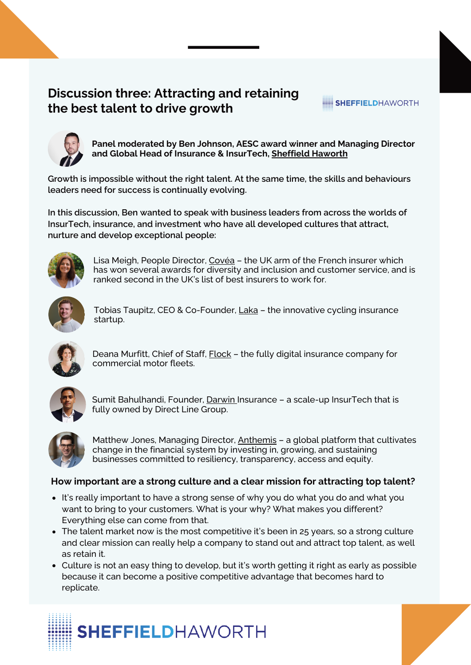## **Discussion three: Attracting and retaining the best talent to drive growth**



**Panel moderated by Ben Johnson, AESC award winner and Managing Director and Global Head of Insurance & InsurTech, [Sheffield](https://www.sheffieldhaworth.com/financial-services/insurance/) Haworth**

SHEFFIELDHAWORTH

**Growth is impossible without the right talent. At the same time, the skills and behaviours leaders need for success is continually evolving.**

**In this discussion, Ben wanted to speak with business leaders from across the worlds of InsurTech, insurance, and investment who have all developed cultures that attract, nurture and develop exceptional people:**



Lisa Meigh, People [Director,](https://www.linkedin.com/in/pitzler/) [Covéa](https://www.coveainsurance.co.uk/) - the UK arm of the French insurer which has won several awards for diversity and inclusion and [customer](https://www.linkedin.com/in/pitzler/) service, and is ranked second in the UK's list of best insurers to work for.



Tobias Taupitz, CEO & [Co-Founder,](https://www.linkedin.com/in/pitzler/) [Laka](https://laka.co/gb) - the innovative cycling insurance startup.



Deana [Murfitt,](https://www.linkedin.com/in/pitzler/) Chief of Staff, **[Flock](https://flockcover.com/)** - the fully digital insurance company for [commercial](https://www.linkedin.com/in/pitzler/) motor fleets.



Sumit [Bahulhandi,](https://www.linkedin.com/in/pitzler/) Founder, [Darwin](https://www.darwin-insurance.com/) Insurance - a scale-up InsurTech that is fully owned by Direct Line [Group.](https://www.linkedin.com/in/pitzler/)



Matthew Jones, [Managing](https://www.linkedin.com/in/pitzler/) Director, [Anthemis](https://www.anthemis.com/) - a global platform that cultivates change in the financial system by investing in, growing, and sustaining businesses committed to resiliency, [transparency,](https://www.linkedin.com/in/pitzler/) access and equity.

#### **How important are a strong culture and a clear mission for attracting top talent?**

- It's really important to have a strong sense of why you do what you do and what you want to bring to your customers. What is your why? What makes you different? Everything else can come from that.
- The talent market now is the most competitive it's been in 25 years, so a strong culture and clear mission can really help a company to stand out and attract top talent, as well as retain it.
- Culture is not an easy thing to develop, but it's worth getting it right as early as possible because it can become a positive competitive advantage that becomes hard to replicate.